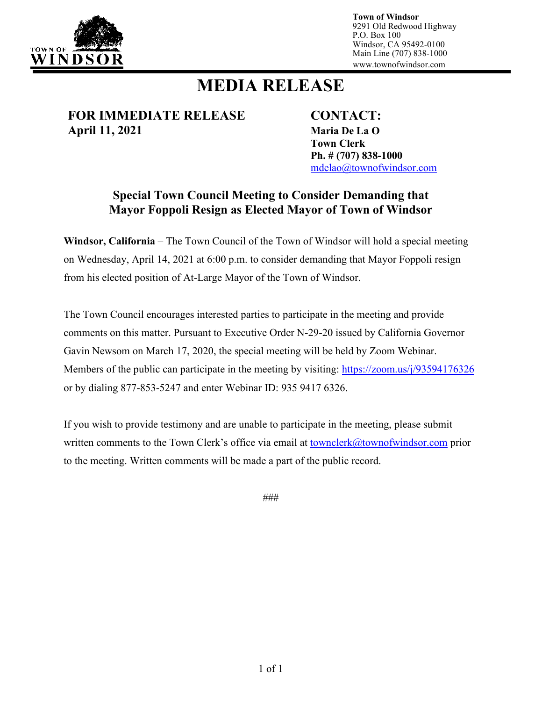

**Town of Windsor** 9291 Old Redwood Highway P.O. Box 100 Windsor, CA 95492-0100 Main Line (707) 838-1000 www.townofwindsor.com

# **MEDIA RELEASE**

**FOR IMMEDIATE RELEASE CONTACT: April 11, 2021 Maria De La O**

**Town Clerk Ph. # (707) 838-1000** [mdelao@townofwindsor.com](mailto:mdelao@townofwindsor.com)

### **Special Town Council Meeting to Consider Demanding that Mayor Foppoli Resign as Elected Mayor of Town of Windsor**

**Windsor, California** – The Town Council of the Town of Windsor will hold a special meeting on Wednesday, April 14, 2021 at 6:00 p.m. to consider demanding that Mayor Foppoli resign from his elected position of At-Large Mayor of the Town of Windsor.

The Town Council encourages interested parties to participate in the meeting and provide comments on this matter. Pursuant to Executive Order N-29-20 issued by California Governor Gavin Newsom on March 17, 2020, the special meeting will be held by Zoom Webinar. Members of the public can participate in the meeting by visiting:<https://zoom.us/j/93594176326> or by dialing 877-853-5247 and enter Webinar ID: 935 9417 6326.

If you wish to provide testimony and are unable to participate in the meeting, please submit written comments to the Town Clerk's office via email at [townclerk@townofwindsor.com](mailto:townclerk@townofwindsor.com) prior to the meeting. Written comments will be made a part of the public record.

###